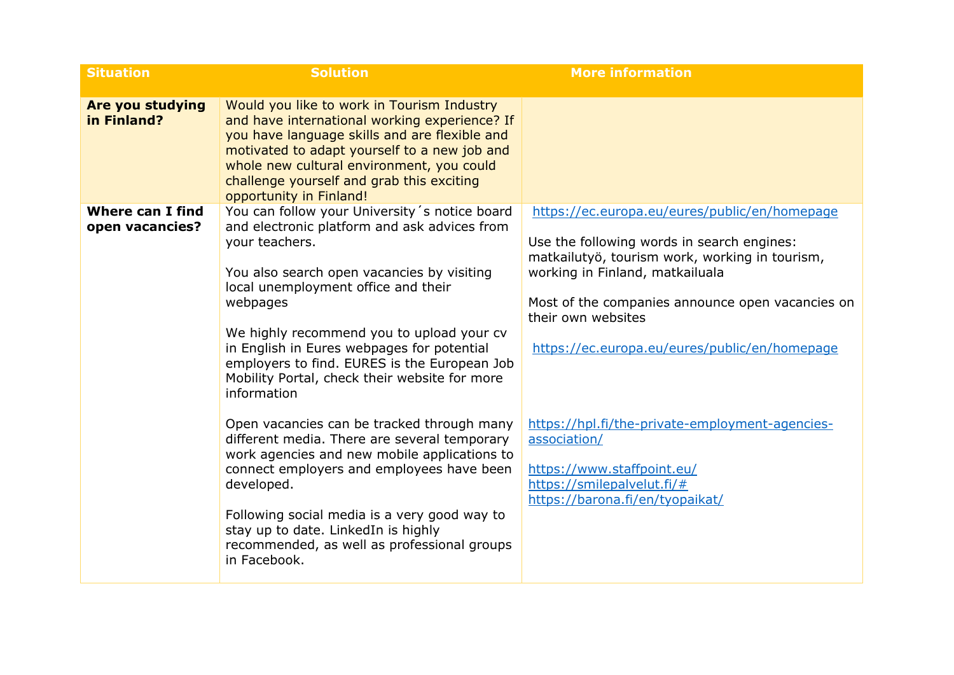| <b>Situation</b>                           | <b>Solution</b>                                                                                                                                                                                                                                                                                                                                                                                                             | <b>More information</b>                                                                                                                                                                                                                                                                                     |
|--------------------------------------------|-----------------------------------------------------------------------------------------------------------------------------------------------------------------------------------------------------------------------------------------------------------------------------------------------------------------------------------------------------------------------------------------------------------------------------|-------------------------------------------------------------------------------------------------------------------------------------------------------------------------------------------------------------------------------------------------------------------------------------------------------------|
| <b>Are you studying</b><br>in Finland?     | Would you like to work in Tourism Industry<br>and have international working experience? If<br>you have language skills and are flexible and<br>motivated to adapt yourself to a new job and<br>whole new cultural environment, you could<br>challenge yourself and grab this exciting<br>opportunity in Finland!                                                                                                           |                                                                                                                                                                                                                                                                                                             |
| <b>Where can I find</b><br>open vacancies? | You can follow your University's notice board<br>and electronic platform and ask advices from<br>your teachers.<br>You also search open vacancies by visiting<br>local unemployment office and their<br>webpages<br>We highly recommend you to upload your cv<br>in English in Eures webpages for potential<br>employers to find. EURES is the European Job<br>Mobility Portal, check their website for more<br>information | https://ec.europa.eu/eures/public/en/homepage<br>Use the following words in search engines:<br>matkailutyö, tourism work, working in tourism,<br>working in Finland, matkailuala<br>Most of the companies announce open vacancies on<br>their own websites<br>https://ec.europa.eu/eures/public/en/homepage |
|                                            | Open vacancies can be tracked through many<br>different media. There are several temporary<br>work agencies and new mobile applications to<br>connect employers and employees have been<br>developed.<br>Following social media is a very good way to<br>stay up to date. LinkedIn is highly<br>recommended, as well as professional groups<br>in Facebook.                                                                 | https://hpl.fi/the-private-employment-agencies-<br>association/<br>https://www.staffpoint.eu/<br>https://smilepalvelut.fi/#<br>https://barona.fi/en/tyopaikat/                                                                                                                                              |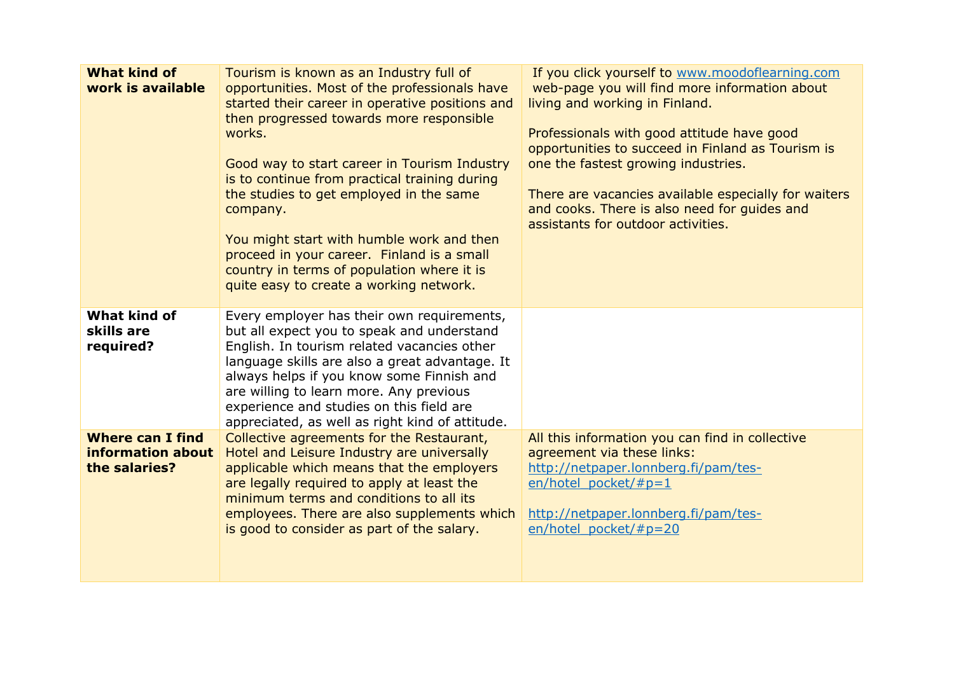| <b>What kind of</b><br>work is available                      | Tourism is known as an Industry full of<br>opportunities. Most of the professionals have<br>started their career in operative positions and<br>then progressed towards more responsible<br>works.<br>Good way to start career in Tourism Industry<br>is to continue from practical training during<br>the studies to get employed in the same<br>company.<br>You might start with humble work and then<br>proceed in your career. Finland is a small<br>country in terms of population where it is<br>quite easy to create a working network. | If you click yourself to www.moodoflearning.com<br>web-page you will find more information about<br>living and working in Finland.<br>Professionals with good attitude have good<br>opportunities to succeed in Finland as Tourism is<br>one the fastest growing industries.<br>There are vacancies available especially for waiters<br>and cooks. There is also need for guides and<br>assistants for outdoor activities. |
|---------------------------------------------------------------|-----------------------------------------------------------------------------------------------------------------------------------------------------------------------------------------------------------------------------------------------------------------------------------------------------------------------------------------------------------------------------------------------------------------------------------------------------------------------------------------------------------------------------------------------|----------------------------------------------------------------------------------------------------------------------------------------------------------------------------------------------------------------------------------------------------------------------------------------------------------------------------------------------------------------------------------------------------------------------------|
| <b>What kind of</b><br>skills are<br>required?                | Every employer has their own requirements,<br>but all expect you to speak and understand<br>English. In tourism related vacancies other<br>language skills are also a great advantage. It<br>always helps if you know some Finnish and<br>are willing to learn more. Any previous<br>experience and studies on this field are<br>appreciated, as well as right kind of attitude.                                                                                                                                                              |                                                                                                                                                                                                                                                                                                                                                                                                                            |
| <b>Where can I find</b><br>information about<br>the salaries? | Collective agreements for the Restaurant,<br>Hotel and Leisure Industry are universally<br>applicable which means that the employers<br>are legally required to apply at least the<br>minimum terms and conditions to all its<br>employees. There are also supplements which<br>is good to consider as part of the salary.                                                                                                                                                                                                                    | All this information you can find in collective<br>agreement via these links:<br>http://netpaper.lonnberg.fi/pam/tes-<br>en/hotel pocket/#p=1<br>http://netpaper.lonnberg.fi/pam/tes-<br>en/hotel pocket/#p=20                                                                                                                                                                                                             |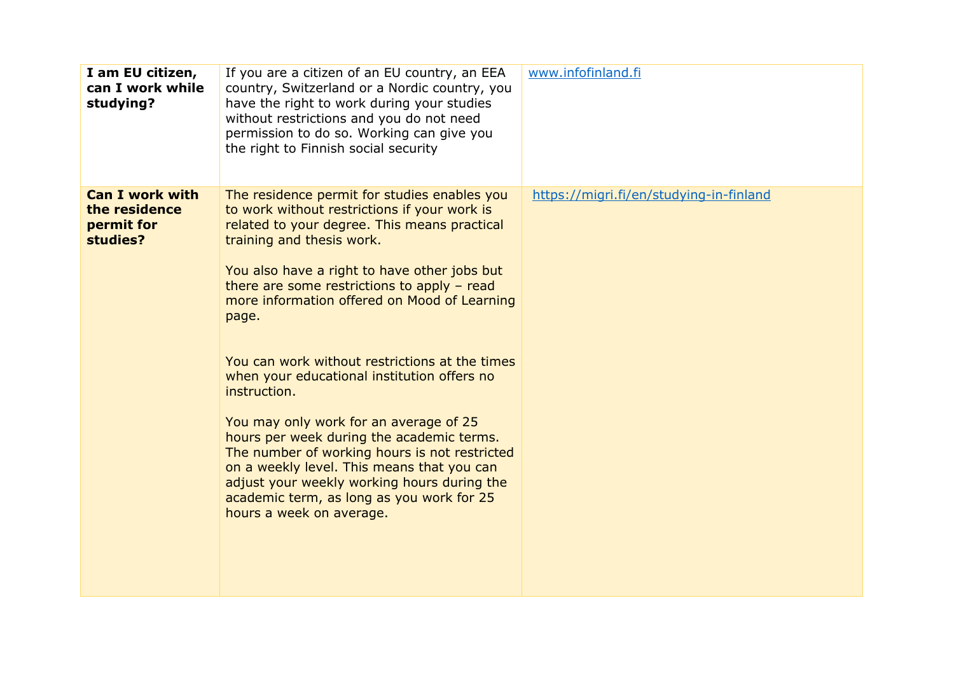| I am EU citizen,<br>can I work while<br>studying?                 | If you are a citizen of an EU country, an EEA<br>country, Switzerland or a Nordic country, you<br>have the right to work during your studies<br>without restrictions and you do not need<br>permission to do so. Working can give you<br>the right to Finnish social security                                                                                                                                                                                                                                                                                                                                                                                                                                                                                      | www.infofinland.fi                      |
|-------------------------------------------------------------------|--------------------------------------------------------------------------------------------------------------------------------------------------------------------------------------------------------------------------------------------------------------------------------------------------------------------------------------------------------------------------------------------------------------------------------------------------------------------------------------------------------------------------------------------------------------------------------------------------------------------------------------------------------------------------------------------------------------------------------------------------------------------|-----------------------------------------|
| <b>Can I work with</b><br>the residence<br>permit for<br>studies? | The residence permit for studies enables you<br>to work without restrictions if your work is<br>related to your degree. This means practical<br>training and thesis work.<br>You also have a right to have other jobs but<br>there are some restrictions to apply $-$ read<br>more information offered on Mood of Learning<br>page.<br>You can work without restrictions at the times<br>when your educational institution offers no<br>instruction.<br>You may only work for an average of 25<br>hours per week during the academic terms.<br>The number of working hours is not restricted<br>on a weekly level. This means that you can<br>adjust your weekly working hours during the<br>academic term, as long as you work for 25<br>hours a week on average. | https://migri.fi/en/studying-in-finland |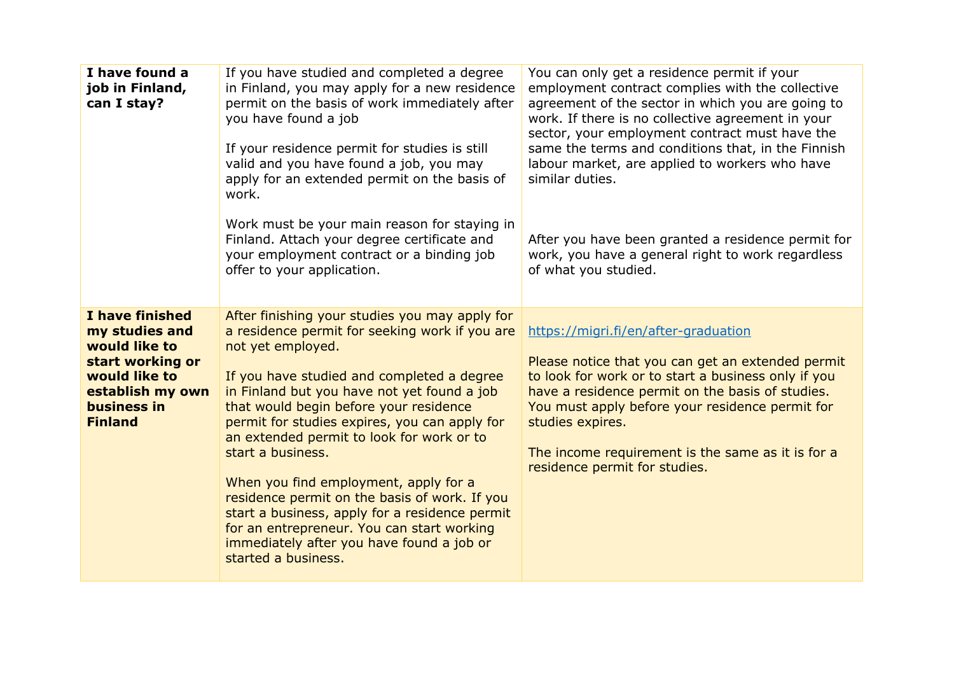| I have found a<br>job in Finland,<br>can I stay?                                                                                             | If you have studied and completed a degree<br>in Finland, you may apply for a new residence<br>permit on the basis of work immediately after<br>you have found a job<br>If your residence permit for studies is still<br>valid and you have found a job, you may<br>apply for an extended permit on the basis of<br>work.<br>Work must be your main reason for staying in<br>Finland. Attach your degree certificate and<br>your employment contract or a binding job<br>offer to your application.                                                                                                                                           | You can only get a residence permit if your<br>employment contract complies with the collective<br>agreement of the sector in which you are going to<br>work. If there is no collective agreement in your<br>sector, your employment contract must have the<br>same the terms and conditions that, in the Finnish<br>labour market, are applied to workers who have<br>similar duties.<br>After you have been granted a residence permit for<br>work, you have a general right to work regardless<br>of what you studied. |
|----------------------------------------------------------------------------------------------------------------------------------------------|-----------------------------------------------------------------------------------------------------------------------------------------------------------------------------------------------------------------------------------------------------------------------------------------------------------------------------------------------------------------------------------------------------------------------------------------------------------------------------------------------------------------------------------------------------------------------------------------------------------------------------------------------|---------------------------------------------------------------------------------------------------------------------------------------------------------------------------------------------------------------------------------------------------------------------------------------------------------------------------------------------------------------------------------------------------------------------------------------------------------------------------------------------------------------------------|
| I have finished<br>my studies and<br>would like to<br>start working or<br>would like to<br>establish my own<br>business in<br><b>Finland</b> | After finishing your studies you may apply for<br>a residence permit for seeking work if you are<br>not yet employed.<br>If you have studied and completed a degree<br>in Finland but you have not yet found a job<br>that would begin before your residence<br>permit for studies expires, you can apply for<br>an extended permit to look for work or to<br>start a business.<br>When you find employment, apply for a<br>residence permit on the basis of work. If you<br>start a business, apply for a residence permit<br>for an entrepreneur. You can start working<br>immediately after you have found a job or<br>started a business. | https://migri.fi/en/after-graduation<br>Please notice that you can get an extended permit<br>to look for work or to start a business only if you<br>have a residence permit on the basis of studies.<br>You must apply before your residence permit for<br>studies expires.<br>The income requirement is the same as it is for a<br>residence permit for studies.                                                                                                                                                         |